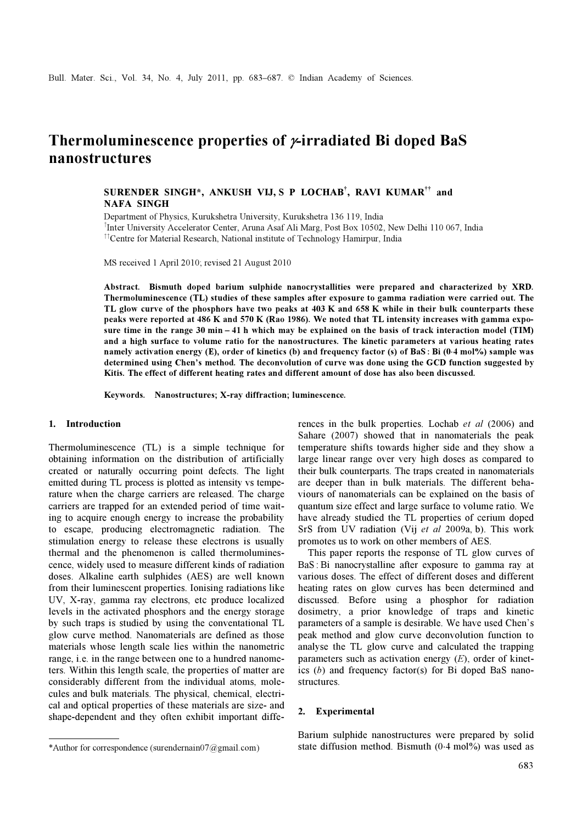# Thermoluminescence properties of *γ*-irradiated Bi doped BaS nanostructures

# SURENDER SINGH\*, ANKUSH VIJ, S P LOCHAB<sup>†</sup>, RAVI KUMAR<sup>††</sup> and NAFA SINGH

Department of Physics, Kurukshetra University, Kurukshetra 136 119, India

† Inter University Accelerator Center, Aruna Asaf Ali Marg, Post Box 10502, New Delhi 110 067, India ††Centre for Material Research, National institute of Technology Hamirpur, India

MS received 1 April 2010; revised 21 August 2010

Abstract. Bismuth doped barium sulphide nanocrystallities were prepared and characterized by XRD. Thermoluminescence (TL) studies of these samples after exposure to gamma radiation were carried out. The TL glow curve of the phosphors have two peaks at 403 K and 658 K while in their bulk counterparts these peaks were reported at 486 K and 570 K (Rao 1986). We noted that TL intensity increases with gamma exposure time in the range 30 min – 41 h which may be explained on the basis of track interaction model (TIM) and a high surface to volume ratio for the nanostructures. The kinetic parameters at various heating rates namely activation energy (E), order of kinetics (b) and frequency factor (s) of BaS : Bi (0⋅4 mol%) sample was determined using Chen's method. The deconvolution of curve was done using the GCD function suggested by Kitis. The effect of different heating rates and different amount of dose has also been discussed.

Keywords. Nanostructures; X-ray diffraction; luminescence.

#### 1. Introduction

Thermoluminescence (TL) is a simple technique for obtaining information on the distribution of artificially created or naturally occurring point defects. The light emitted during TL process is plotted as intensity vs temperature when the charge carriers are released. The charge carriers are trapped for an extended period of time waiting to acquire enough energy to increase the probability to escape, producing electromagnetic radiation. The stimulation energy to release these electrons is usually thermal and the phenomenon is called thermoluminescence, widely used to measure different kinds of radiation doses. Alkaline earth sulphides (AES) are well known from their luminescent properties. Ionising radiations like UV, X-ray, gamma ray electrons, etc produce localized levels in the activated phosphors and the energy storage by such traps is studied by using the conventational TL glow curve method. Nanomaterials are defined as those materials whose length scale lies within the nanometric range, i.e. in the range between one to a hundred nanometers. Within this length scale, the properties of matter are considerably different from the individual atoms, molecules and bulk materials. The physical, chemical, electrical and optical properties of these materials are size- and shape-dependent and they often exhibit important diffe-

rences in the bulk properties. Lochab et al (2006) and Sahare (2007) showed that in nanomaterials the peak temperature shifts towards higher side and they show a large linear range over very high doses as compared to their bulk counterparts. The traps created in nanomaterials are deeper than in bulk materials. The different behaviours of nanomaterials can be explained on the basis of quantum size effect and large surface to volume ratio. We have already studied the TL properties of cerium doped SrS from UV radiation (Vij et al 2009a, b). This work promotes us to work on other members of AES.

 This paper reports the response of TL glow curves of BaS : Bi nanocrystalline after exposure to gamma ray at various doses. The effect of different doses and different heating rates on glow curves has been determined and discussed. Before using a phosphor for radiation dosimetry, a prior knowledge of traps and kinetic parameters of a sample is desirable. We have used Chen's peak method and glow curve deconvolution function to analyse the TL glow curve and calculated the trapping parameters such as activation energy  $(E)$ , order of kinetics (b) and frequency factor(s) for Bi doped BaS nanostructures.

## 2. Experimental

\*Author for correspondence (surendernain07@gmail.com) Barium sulphide nanostructures were prepared by solid state diffusion method. Bismuth (0⋅4 mol%) was used as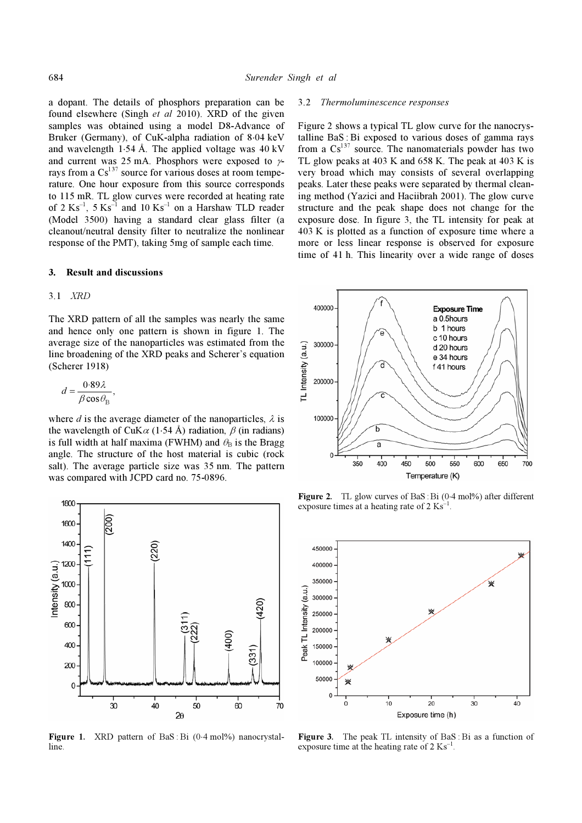a dopant. The details of phosphors preparation can be found elsewhere (Singh et al 2010). XRD of the given samples was obtained using a model D8-Advance of Bruker (Sewhere (Singh et al. 2010). XKD of the given<br>Bruker (Germany), of CuK-alpha radiation of 8⋅04 keV analytics was columned using a model Do Advance of Bruker (Germany), of CuK-alpha radiation of 8⋅04 keV and wavelength 1⋅54 Å. The applied voltage was 40 kV and current was 25 mA. Phosphors were exposed to  $\gamma$ rays from a  $Cs^{137}$  source for various doses at room temperature. One hour exposure from this source corresponds to 115 mR. TL glow curves were recorded at heating rate of 2 Ks<sup>-1</sup>, 5 Ks<sup>-1</sup> and 10 Ks<sup>-1</sup> on a Harshaw TLD reader (Model 3500) having a standard clear glass filter (a cleanout/neutral density filter to neutralize the nonlinear response of the PMT), taking 5mg of sample each time.

## 3. Result and discussions

#### 3.1 XRD

The XRD pattern of all the samples was nearly the same and hence only one pattern is shown in figure 1. The average size of the nanoparticles was estimated from the line broadening of the XRD peaks and Scherer's equation (Scherer 1918)

$$
d = \frac{0.89\lambda}{\beta \cos \theta_{\rm B}},
$$

where d is the average diameter of the nanoparticles,  $\lambda$  is the wavelength of CuK $\alpha$  (1⋅54 Å) radiation,  $\beta$  (in radians) is full width at half maxima (FWHM) and  $\theta_B$  is the Bragg angle. The structure of the host material is cubic (rock salt). The average particle size was 35 nm. The pattern was compared with JCPD card no. 75-0896.



Figure 1. XRD pattern of BaS : Bi (0⋅4 mol%) nanocrystalline.

#### 3.2 Thermoluminescence responses

Figure 2 shows a typical TL glow curve for the nanocrystalline BaS : Bi exposed to various doses of gamma rays from a  $Cs^{137}$  source. The nanomaterials powder has two TL glow peaks at 403 K and 658 K. The peak at 403 K is very broad which may consists of several overlapping peaks. Later these peaks were separated by thermal cleaning method (Yazici and Haciibrah 2001). The glow curve structure and the peak shape does not change for the exposure dose. In figure 3, the TL intensity for peak at 403 K is plotted as a function of exposure time where a more or less linear response is observed for exposure time of 41 h. This linearity over a wide range of doses



Figure 2. TL glow curves of BaS :Bi (0⋅4 mol%) after different exposure times at a heating rate of  $2 \text{ Ks}^{-1}$ .



Figure 3. The peak TL intensity of BaS: Bi as a function of exposure time at the heating rate of  $2 \text{ Ks}^{-1}$ .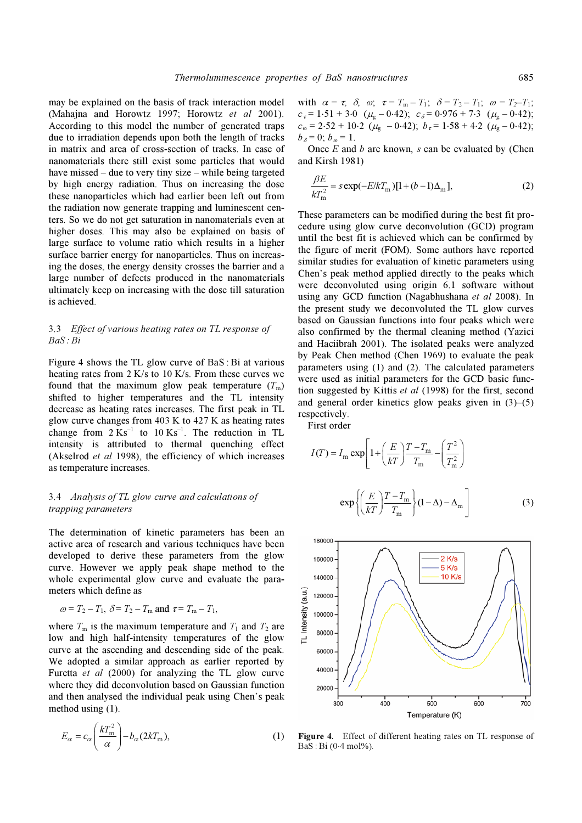may be explained on the basis of track interaction model (Mahajna and Horowtz 1997; Horowtz et al 2001). According to this model the number of generated traps due to irradiation depends upon both the length of tracks in matrix and area of cross-section of tracks. In case of nanomaterials there still exist some particles that would have missed – due to very tiny size – while being targeted by high energy radiation. Thus on increasing the dose these nanoparticles which had earlier been left out from the radiation now generate trapping and luminescent centers. So we do not get saturation in nanomaterials even at higher doses. This may also be explained on basis of large surface to volume ratio which results in a higher surface barrier energy for nanoparticles. Thus on increasing the doses, the energy density crosses the barrier and a large number of defects produced in the nanomaterials ultimately keep on increasing with the dose till saturation is achieved.

# 3.3 Effect of various heating rates on TL response of BaS : Bi

Figure 4 shows the TL glow curve of BaS : Bi at various heating rates from 2 K/s to 10 K/s. From these curves we found that the maximum glow peak temperature  $(T<sub>m</sub>)$ shifted to higher temperatures and the TL intensity decrease as heating rates increases. The first peak in TL glow curve changes from 403 K to 427 K as heating rates change from  $2 \text{ Ks}^{-1}$  to  $10 \text{ Ks}^{-1}$ . The reduction in TL intensity is attributed to thermal quenching effect (Akselrod et al 1998), the efficiency of which increases as temperature increases.

# 3.4 Analysis of TL glow curve and calculations of trapping parameters

The determination of kinetic parameters has been an active area of research and various techniques have been developed to derive these parameters from the glow curve. However we apply peak shape method to the whole experimental glow curve and evaluate the parameters which define as

$$
\omega = T_2 - T_1
$$
,  $\delta = T_2 - T_m$  and  $\tau = T_m - T_1$ ,

where  $T_m$  is the maximum temperature and  $T_1$  and  $T_2$  are low and high half-intensity temperatures of the glow curve at the ascending and descending side of the peak. We adopted a similar approach as earlier reported by Furetta et al (2000) for analyzing the TL glow curve where they did deconvolution based on Gaussian function and then analysed the individual peak using Chen's peak method using (1).

$$
E_{\alpha} = c_{\alpha} \left( \frac{k T_{\rm m}^2}{\alpha} \right) - b_{\alpha} (2kT_{\rm m}), \tag{1}
$$

with  $\alpha = \tau$ ,  $\delta$ ,  $\omega$ ;  $\tau = T_m - T_1$ ;  $\delta = T_2 - T_1$ ;  $\omega = T_2 - T_1$ ; with  $\alpha = \tau$ ,  $\delta$ ,  $\omega$ ;  $\tau = T_{\text{m}} - T_1$ ;  $\delta = T_2 - T_1$ ;  $\omega = T_2 - T_1$ ;<br>  $c_{\tau} = 1.51 + 3.0 \ (\mu_{\text{g}} - 0.42)$ ;  $c_{\delta} = 0.976 + 7.3 \ (\mu_{\text{g}} - 0.42)$ ; with  $\alpha$  i,  $c$ ,  $\alpha$ ,  $\iota$  i<sub>m</sub> i<sub>1</sub>,  $\sigma$  i<sub>2</sub> i<sub>1</sub>,  $\sigma$  i<sub>2</sub> i<sub>1</sub>,<br>  $c_{\kappa} = 1.51 + 3.0$  ( $\mu_{\kappa} - 0.42$ );  $c_{\delta} = 0.976 + 7.3$  ( $\mu_{\kappa} - 0.42$ );<br>  $c_{\omega} = 2.52 + 10.2$  ( $\mu_{\kappa} - 0.42$ );  $b_{\tau} = 1.58 + 4.2$  ( $\mu_{\kappa}$  $b_{\delta} = 0$ ;  $b_{\omega} = 1$ .

Once  $E$  and  $b$  are known,  $s$  can be evaluated by (Chen and Kirsh 1981)

$$
\frac{\beta E}{kT_{\text{m}}^2} = s \exp(-E/kT_{\text{m}})[1 + (b-1)\Delta_{\text{m}}],\tag{2}
$$

These parameters can be modified during the best fit procedure using glow curve deconvolution (GCD) program until the best fit is achieved which can be confirmed by the figure of merit (FOM). Some authors have reported similar studies for evaluation of kinetic parameters using Chen's peak method applied directly to the peaks which were deconvoluted using origin 6.1 software without using any GCD function (Nagabhushana et al 2008). In the present study we deconvoluted the TL glow curves based on Gaussian functions into four peaks which were also confirmed by the thermal cleaning method (Yazici and Haciibrah 2001). The isolated peaks were analyzed by Peak Chen method (Chen 1969) to evaluate the peak parameters using (1) and (2). The calculated parameters were used as initial parameters for the GCD basic function suggested by Kittis et al (1998) for the first, second and general order kinetics glow peaks given in (3)–(5) respectively.

First order

$$
I(T) = I_{\rm m} \exp\left[1 + \left(\frac{E}{kT}\right) \frac{T - T_{\rm m}}{T_{\rm m}} - \left(\frac{T^2}{T_{\rm m}^2}\right)\right]
$$

$$
\exp\left\{\left(\frac{E}{kT}\right) \frac{T - T_{\rm m}}{T_{\rm m}}\right\} (1 - \Delta) - \Delta_{\rm m}\right]
$$
(3)



Figure 4. Effect of different heating rates on TL response of BaS : Bi (0⋅4 mol%).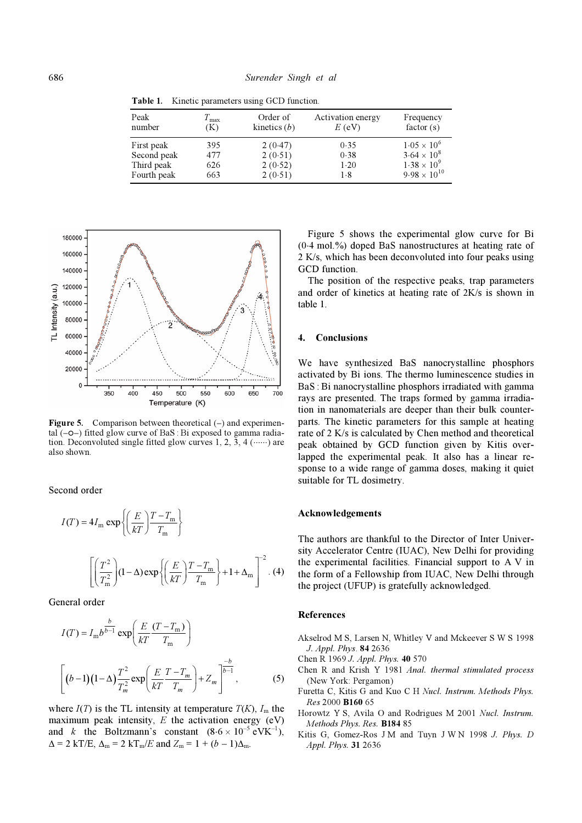Table 1. Kinetic parameters using GCD function.

| Peak        | $T_{\rm max}$ | Order of       | Activation energy | Frequency             |
|-------------|---------------|----------------|-------------------|-----------------------|
| number      | (K)           | kinetics $(b)$ | $E$ (eV)          | factor(s)             |
| First peak  | 395           | 2(0.47)        | 0.35              | $1.05 \times 10^{6}$  |
| Second peak | 477           | 2(0.51)        | 0.38              | $3.64 \times 10^{8}$  |
| Third peak  | 626           | 2(0.52)        | $1-20$            | $1.38 \times 10^{9}$  |
| Fourth peak | 663           | 2(0.51)        | 1.8               | $9.98 \times 10^{10}$ |



**Figure 5.** Comparison between theoretical  $(-)$  and experimental (–-–) fitted glow curve of BaS : Bi exposed to gamma radiation. Deconvoluted single fitted glow curves 1, 2, 3, 4 (⋅⋅⋅⋅⋅⋅⋅) are also shown.

Second order

$$
I(T) = 4I_{\text{m}} \exp\left\{ \left( \frac{E}{kT} \right) \frac{T - T_{\text{m}}}{T_{\text{m}}} \right\}
$$

$$
\left[ \left( \frac{T^2}{T_{\text{m}}^2} \right) (1 - \Delta) \exp\left\{ \left( \frac{E}{kT} \right) \frac{T - T_{\text{m}}}{T_{\text{m}}} \right\} + 1 + \Delta_{\text{m}} \right]^{-2} . (4)
$$

General order

$$
I(T) = I_{\rm m} b^{\frac{b}{b-1}} \exp\left(\frac{E}{kT} \frac{(T - T_{\rm m})}{T_{\rm m}}\right)
$$

$$
\left[ (b-1)(1-\Delta) \frac{T^2}{T_m^2} \exp\left(\frac{E}{kT} \frac{T - T_m}{T_m}\right) + Z_m \right]^{\frac{-b}{b-1}}, \tag{5}
$$

where  $I(T)$  is the TL intensity at temperature  $T(K)$ ,  $I<sub>m</sub>$  the maximum peak intensity,  $E$  the activation energy (eV) and k the Boltzmann's constant  $(8.6 \times 10^{-5} \text{ eVK}^{-1})$ ,  $\Delta = 2$  kT/E,  $\Delta_m = 2$  kT<sub>m</sub>/E and  $Z_m = 1 + (b - 1)\Delta_m$ .

 Figure 5 shows the experimental glow curve for Bi (0⋅4 mol.%) doped BaS nanostructures at heating rate of 2 K/s, which has been deconvoluted into four peaks using GCD function.

 The position of the respective peaks, trap parameters and order of kinetics at heating rate of 2K/s is shown in table 1.

# 4. Conclusions

We have synthesized BaS nanocrystalline phosphors activated by Bi ions. The thermo luminescence studies in BaS : Bi nanocrystalline phosphors irradiated with gamma rays are presented. The traps formed by gamma irradiation in nanomaterials are deeper than their bulk counterparts. The kinetic parameters for this sample at heating rate of 2 K/s is calculated by Chen method and theoretical peak obtained by GCD function given by Kitis overlapped the experimental peak. It also has a linear response to a wide range of gamma doses, making it quiet suitable for TL dosimetry.

#### Acknowledgements

The authors are thankful to the Director of Inter University Accelerator Centre (IUAC), New Delhi for providing the experimental facilities. Financial support to A V in the form of a Fellowship from IUAC, New Delhi through the project (UFUP) is gratefully acknowledged.

# References

Akselrod M S, Larsen N, Whitley V and Mckeever S W S 1998 J. Appl. Phys. 84 2636

Chen R 1969 J. Appl. Phys. 40 570

- Chen R and Krish Y 1981 Anal. thermal stimulated process (New York: Pergamon)
- Furetta C, Kitis G and Kuo C H Nucl. Instrum. Methods Phys. Res 2000 B160 65
- Horowtz Y S, Avila O and Rodrigues M 2001 Nucl. Instrum. Methods Phys. Res. B184 85
- Kitis G, Gomez-Ros J M and Tuyn J W N 1998 J. Phys. D Appl. Phys. 31 2636